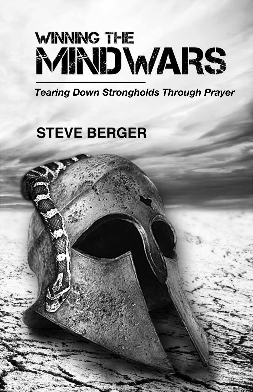# **WINNING THE MNDWARS**

*Tearing Down Strongholds Through Prayer*

# **STEVE BERGER**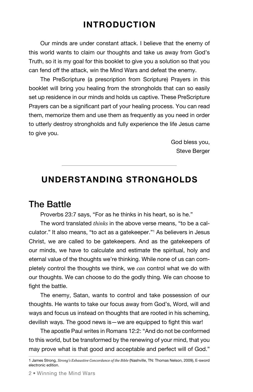# **Introduction**

Our minds are under constant attack. I believe that the enemy of this world wants to claim our thoughts and take us away from God's Truth, so it is my goal for this booklet to give you a solution so that you can fend off the attack, win the Mind Wars and defeat the enemy.

The PreScripture (a prescription from Scripture) Prayers in this booklet will bring you healing from the strongholds that can so easily set up residence in our minds and holds us captive. These PreScripture Prayers can be a significant part of your healing process. You can read them, memorize them and use them as frequently as you need in order to utterly destroy strongholds and fully experience the life Jesus came to give you.

> God bless you, Steve Berger

# **Understanding Strongholds**

# The Battle

Proverbs 23:7 says, "For as he thinks in his heart, so is he."

The word translated *thinks* in the above verse means, "to be a calculator." It also means, "to act as a gatekeeper."1 As believers in Jesus Christ, we are called to be gatekeepers. And as the gatekeepers of our minds, we have to calculate and estimate the spiritual, holy and eternal value of the thoughts we're thinking. While none of us can completely control the thoughts we think, we *can* control what we do with our thoughts. We can choose to do the godly thing. We can choose to fight the battle.

The enemy, Satan, wants to control and take possession of our thoughts. He wants to take our focus away from God's, Word, will and ways and focus us instead on thoughts that are rooted in his scheming, devilish ways. The good news is—we are equipped to fight this war!

The apostle Paul writes in Romans 12:2: "And do not be conformed to this world, but be transformed by the renewing of your mind, that you may prove what is that good and acceptable and perfect will of God."

<sup>1</sup> James Strong, *Strong's Exhaustive Concordance of the Bible* (Nashville, TN: Thomas Nelson, 2009), E-sword electronic edition.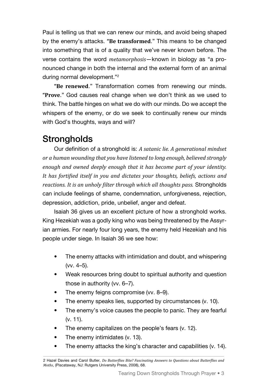Paul is telling us that we can renew our minds, and avoid being shaped by the enemy's attacks. **"Be transformed**." This means to be changed into something that is of a quality that we've never known before. The verse contains the word *metamorphosis*—known in biology as "a pronounced change in both the internal and the external form of an animal during normal development."2

**"Be renewed**." Transformation comes from renewing our minds. **"Prove**." God causes real change when we don't think as we used to think. The battle hinges on what we do with our minds. Do we accept the whispers of the enemy, or do we seek to continually renew our minds with God's thoughts, ways and will?

# **Strongholds**

Our definition of a stronghold is: *A satanic lie. A generational mindset or a human wounding that you have listened to long enough, believed strongly enough and owned deeply enough that it has become part of your identity. It has fortified itself in you and dictates your thoughts, beliefs, actions and reactions. It is an unholy filter through which all thoughts pass.* Strongholds can include feelings of shame, condemnation, unforgiveness, rejection, depression, addiction, pride, unbelief, anger and defeat.

Isaiah 36 gives us an excellent picture of how a stronghold works. King Hezekiah was a godly king who was being threatened by the Assyrian armies. For nearly four long years, the enemy held Hezekiah and his people under siege. In Isaiah 36 we see how:

- The enemy attacks with intimidation and doubt, and whispering (vv. 4–5).
- Weak resources bring doubt to spiritual authority and question those in authority (vv. 6–7).
- The enemy feigns compromise (vv. 8-9).
- The enemy speaks lies, supported by circumstances (v. 10).
- The enemy's voice causes the people to panic. They are fearful (v. 11).
- The enemy capitalizes on the people's fears (v. 12).
- The enemy intimidates (v. 13).
- The enemy attacks the king's character and capabilities (v. 14).

<sup>2</sup> Hazel Davies and Carol Butler, *Do Butterflies Bite? Fascinating Answers to Questions about Butterflies and Moths*, (Piscataway, NJ: Rutgers University Press, 2008), 68.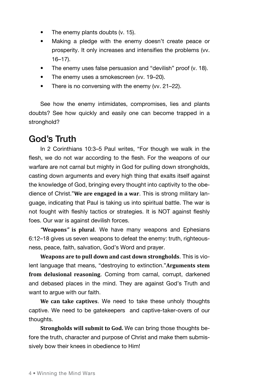- The enemy plants doubts (v. 15).
- Making a pledge with the enemy doesn't create peace or prosperity. It only increases and intensifies the problems (vv. 16–17).
- The enemy uses false persuasion and "devilish" proof (v. 18).
- The enemy uses a smokescreen (vv. 19–20).
- There is no conversing with the enemy (vv. 21–22).

See how the enemy intimidates, compromises, lies and plants doubts? See how quickly and easily one can become trapped in a stronghold?

# God's Truth

In 2 Corinthians 10:3–5 Paul writes, "For though we walk in the flesh, we do not war according to the flesh. For the weapons of our warfare are not carnal but mighty in God for pulling down strongholds, casting down arguments and every high thing that exalts itself against the knowledge of God, bringing every thought into captivity to the obedience of Christ."**We are engaged in a war**. This is strong military language, indicating that Paul is taking us into spiritual battle. The war is not fought with fleshly tactics or strategies. It is NOT against fleshly foes. Our war is against devilish forces.

*"***Weapons***"* **is plural**. We have many weapons and Ephesians 6:12–18 gives us seven weapons to defeat the enemy: truth, righteousness, peace, faith, salvation, God's Word and prayer.

**Weapons are to pull down and cast down strongholds**. This is violent language that means, "destroying to extinction."**Arguments stem from delusional reasoning**. Coming from carnal, corrupt, darkened and debased places in the mind. They are against God's Truth and want to argue with our faith.

**We can take captives**. We need to take these unholy thoughts captive. We need to be gatekeepers and captive-taker-overs of our thoughts.

**Strongholds will submit to God.** We can bring those thoughts before the truth, character and purpose of Christ and make them submissively bow their knees in obedience to Him!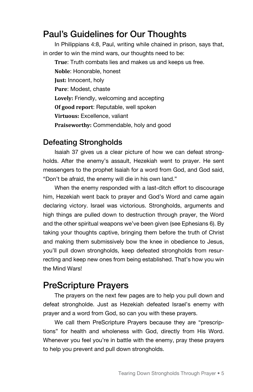# Paul's Guidelines for Our Thoughts

In Philippians 4:8, Paul, writing while chained in prison, says that, in order to win the mind wars, our thoughts need to be:

**True**: Truth combats lies and makes us and keeps us free. **Noble**: Honorable, honest **Just:** Innocent, holy **Pure**: Modest, chaste **Lovely:** Friendly, welcoming and accepting **Of good report**: Reputable, well spoken **Virtuous:** Excellence, valiant **Praiseworthy:** Commendable, holy and good

#### Defeating Strongholds

Isaiah 37 gives us a clear picture of how we can defeat strongholds. After the enemy's assault, Hezekiah went to prayer. He sent messengers to the prophet Isaiah for a word from God, and God said, "Don't be afraid, the enemy will die in his own land."

When the enemy responded with a last-ditch effort to discourage him, Hezekiah went back to prayer and God's Word and came again declaring victory. Israel was victorious. Strongholds, arguments and high things are pulled down to destruction through prayer, the Word and the other spiritual weapons we've been given (see Ephesians 6). By taking your thoughts captive, bringing them before the truth of Christ and making them submissively bow the knee in obedience to Jesus, you'll pull down strongholds, keep defeated strongholds from resurrecting and keep new ones from being established. That's how you win the Mind Wars!

# PreScripture Prayers

The prayers on the next few pages are to help you pull down and defeat strongholde. Just as Hezekiah defeated Israel's enemy with prayer and a word from God, so can you with these prayers.

We call them PreScripture Prayers because they are "prescriptions" for health and wholeness with God, directly from His Word. Whenever you feel you're in battle with the enemy, pray these prayers to help you prevent and pull down strongholds.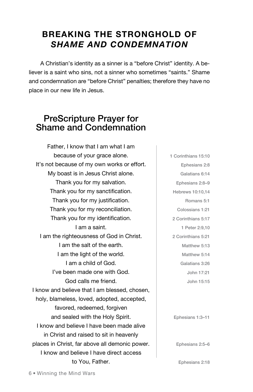# **Breaking the Stronghold of** *Shame and Condemnation*

A Christian's identity as a sinner is a "before Christ" identity. A believer is a saint who sins, not a sinner who sometimes "saints." Shame and condemnation are "before Christ" penalties; therefore they have no place in our new life in Jesus.

# PreScripture Prayer for Shame and Condemnation

Father, I know that I am what I am because of your grace alone. It's not because of my own works or effort. My boast is in Jesus Christ alone. Thank you for my salvation. Thank you for my sanctification. Thank you for my justification. Thank you for my reconciliation. Thank you for my identification. I am a saint. I am the righteousness of God in Christ. I am the salt of the earth. I am the light of the world. I am a child of God. I've been made one with God. God calls me friend. I know and believe that I am blessed, chosen, holy, blameless, loved, adopted, accepted, favored, redeemed, forgiven and sealed with the Holy Spirit. I know and believe I have been made alive in Christ and raised to sit in heavenly places in Christ, far above all demonic power. I know and believe I have direct access to You, Father.

1 Corinthians 15:10 Ephesians 2:8 Galatians 6:14 Ephesians 2:8–9 Hebrews 10:10,14 Romans 5:1 Colossians 1:21 2 Corinthians 5:17 1 Peter 2:9,10 2 Corinthians 5:21 Matthew 5:13 Matthew 5:14 Galatians 3:26 John 17:21 John 15:15

Ephesians 1:3–11

Ephesians 2:5–6

Ephesians 2:18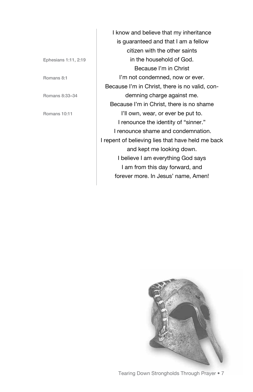Ephesians 1:11, 2:19

Romans 8:1

Romans 8:33–34

Romans 10:11

I know and believe that my inheritance is guaranteed and that I am a fellow citizen with the other saints in the household of God. Because I'm in Christ I'm not condemned, now or ever. Because I'm in Christ, there is no valid, condemning charge against me. Because I'm in Christ, there is no shame I'll own, wear, or ever be put to. I renounce the identity of "sinner." I renounce shame and condemnation. I repent of believing lies that have held me back and kept me looking down. I believe I am everything God says I am from this day forward, and forever more. In Jesus' name, Amen!

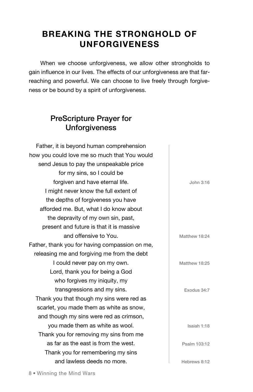# **Breaking the Stronghold of Unforgiveness**

When we choose unforgiveness, we allow other strongholds to gain influence in our lives. The effects of our unforgiveness are that farreaching and powerful. We can choose to live freely through forgiveness or be bound by a spirit of unforgiveness.

#### PreScripture Prayer for Unforgiveness

| Father, it is beyond human comprehension       |               |
|------------------------------------------------|---------------|
| how you could love me so much that You would   |               |
| send Jesus to pay the unspeakable price        |               |
| for my sins, so I could be                     |               |
| forgiven and have eternal life.                | John 3:16     |
| I might never know the full extent of          |               |
| the depths of forgiveness you have             |               |
| afforded me. But, what I do know about         |               |
| the depravity of my own sin, past,             |               |
| present and future is that it is massive       |               |
| and offensive to You.                          | Matthew 18:24 |
| Father, thank you for having compassion on me, |               |
| releasing me and forgiving me from the debt    |               |
| I could never pay on my own.                   | Matthew 18:25 |
| Lord, thank you for being a God                |               |
| who forgives my iniquity, my                   |               |
| transgressions and my sins.                    | Exodus 34:7   |
| Thank you that though my sins were red as      |               |
| scarlet, you made them as white as snow,       |               |
| and though my sins were red as crimson,        |               |
| you made them as white as wool.                | Isaiah 1:18   |
| Thank you for removing my sins from me         |               |
| as far as the east is from the west.           | Psalm 103:12  |
| Thank you for remembering my sins              |               |
| and lawless deeds no more.                     | Hebrews 8:12  |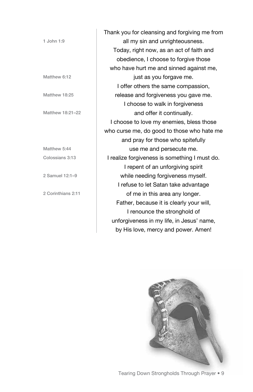|                    | Thank you for cleansing and forgiving me from |  |
|--------------------|-----------------------------------------------|--|
| 1 John 1:9         | all my sin and unrighteousness.               |  |
|                    | Today, right now, as an act of faith and      |  |
|                    | obedience, I choose to forgive those          |  |
|                    | who have hurt me and sinned against me,       |  |
| Matthew 6:12       | just as you forgave me.                       |  |
|                    | I offer others the same compassion,           |  |
| Matthew 18:25      | release and forgiveness you gave me.          |  |
|                    | I choose to walk in forgiveness               |  |
| Matthew 18:21-22   | and offer it continually.                     |  |
|                    | I choose to love my enemies, bless those      |  |
|                    | who curse me, do good to those who hate me    |  |
|                    | and pray for those who spitefully             |  |
| Matthew 5:44       | use me and persecute me.                      |  |
| Colossians 3:13    | I realize forgiveness is something I must do. |  |
|                    | I repent of an unforgiving spirit             |  |
| 2 Samuel 12:1-9    | while needing forgiveness myself.             |  |
|                    | I refuse to let Satan take advantage          |  |
| 2 Corinthians 2:11 | of me in this area any longer.                |  |
|                    | Father, because it is clearly your will,      |  |
|                    | I renounce the stronghold of                  |  |
|                    | unforgiveness in my life, in Jesus' name,     |  |
|                    | by His love, mercy and power. Amen!           |  |

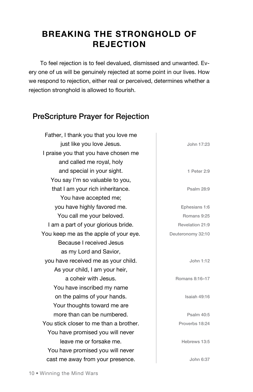# **Breaking the Stronghold of Rejection**

To feel rejection is to feel devalued, dismissed and unwanted. Every one of us will be genuinely rejected at some point in our lives. How we respond to rejection, either real or perceived, determines whether a rejection stronghold is allowed to flourish.

#### PreScripture Prayer for Rejection

Father, I thank you that you love me just like you love Jesus. I praise you that you have chosen me and called me royal, holy and special in your sight. You say I'm so valuable to you, that I am your rich inheritance. You have accepted me; you have highly favored me. You call me your beloved. I am a part of your glorious bride. You keep me as the apple of your eye. Because I received Jesus as my Lord and Savior, you have received me as your child. As your child, I am your heir, a coheir with Jesus. You have inscribed my name on the palms of your hands. Your thoughts toward me are more than can be numbered. You stick closer to me than a brother. You have promised you will never leave me or forsake me. You have promised you will never cast me away from your presence. John 17:23 1 Peter 2:9 Psalm 28:9 Ephesians 1:6 Romans 9:25 Revelation 21:9 Deuteronomy 32:10 John 1:12 Romans 8:16–17 Isaiah 49:16 Psalm 40:5 Proverbs 18:24 Hebrews 13:5 John 6:37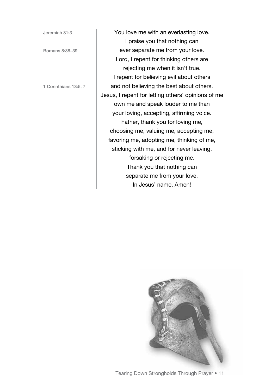Jeremiah 31:3

Romans 8:38–39

1 Corinthians 13:5, 7

You love me with an everlasting love. I praise you that nothing can ever separate me from your love. Lord, I repent for thinking others are rejecting me when it isn't true. I repent for believing evil about others and not believing the best about others. Jesus, I repent for letting others' opinions of me own me and speak louder to me than your loving, accepting, affirming voice. Father, thank you for loving me, choosing me, valuing me, accepting me, favoring me, adopting me, thinking of me, sticking with me, and for never leaving, forsaking or rejecting me. Thank you that nothing can separate me from your love. In Jesus' name, Amen!



Tearing Down Strongholds Through Prayer • 11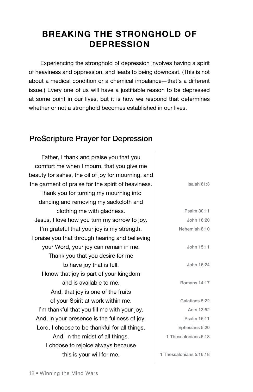# **Breaking the Stronghold of Depression**

Experiencing the stronghold of depression involves having a spirit of heaviness and oppression, and leads to being downcast. (This is not about a medical condition or a chemical imbalance—that's a different issue.) Every one of us will have a justifiable reason to be depressed at some point in our lives, but it is how we respond that determines whether or not a stronghold becomes established in our lives.

#### PreScripture Prayer for Depression

Father, I thank and praise you that you comfort me when I mourn, that you give me beauty for ashes, the oil of joy for mourning, and the garment of praise for the spirit of heaviness. Thank you for turning my mourning into dancing and removing my sackcloth and clothing me with gladness. Jesus, I love how you turn my sorrow to joy. I'm grateful that your joy is my strength. I praise you that through hearing and believing your Word, your joy can remain in me. Thank you that you desire for me to have joy that is full. I know that joy is part of your kingdom and is available to me. And, that joy is one of the fruits of your Spirit at work within me. I'm thankful that you fill me with your joy. And, in your presence is the fullness of joy. Lord, I choose to be thankful for all things. And, in the midst of all things. I choose to rejoice always because this is your will for me.

Isaiah 61:3 Psalm 30:11 John 16:20 Nehemiah 8:10 John 15:11 John 16:24 Romans 14:17 Galatians 5:22 Acts 13:52 Psalm 16:11 Ephesians 5:20 1 Thessalonians 5:18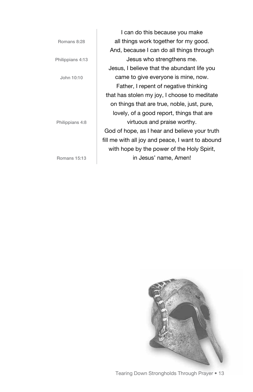|                  | I can do this because you make                   |
|------------------|--------------------------------------------------|
| Romans 8:28      | all things work together for my good.            |
|                  | And, because I can do all things through         |
| Philippians 4:13 | Jesus who strengthens me.                        |
|                  | Jesus, I believe that the abundant life you      |
| John 10:10       | came to give everyone is mine, now.              |
|                  | Father, I repent of negative thinking            |
|                  | that has stolen my joy, I choose to meditate     |
|                  | on things that are true, noble, just, pure,      |
|                  | lovely, of a good report, things that are        |
| Philippians 4:8  | virtuous and praise worthy.                      |
|                  | God of hope, as I hear and believe your truth    |
|                  | fill me with all joy and peace, I want to abound |
|                  | with hope by the power of the Holy Spirit,       |
| Romans 15:13     | in Jesus' name, Amen!                            |

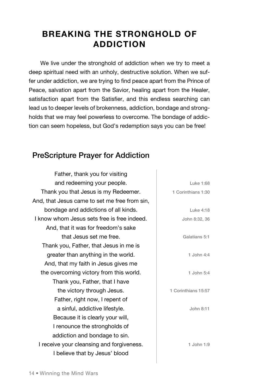# **Breaking the Stronghold of Addiction**

We live under the stronghold of addiction when we try to meet a deep spiritual need with an unholy, destructive solution. When we suffer under addiction, we are trying to find peace apart from the Prince of Peace, salvation apart from the Savior, healing apart from the Healer, satisfaction apart from the Satisfier, and this endless searching can lead us to deeper levels of brokenness, addiction, bondage and strongholds that we may feel powerless to overcome. The bondage of addiction can seem hopeless, but God's redemption says you can be free!

#### PreScripture Prayer for Addiction

Father, thank you for visiting and redeeming your people. Thank you that Jesus is my Redeemer. And, that Jesus came to set me free from sin, bondage and addictions of all kinds. I know whom Jesus sets free is free indeed. And, that it was for freedom's sake that Jesus set me free. Thank you, Father, that Jesus in me is greater than anything in the world. And, that my faith in Jesus gives me the overcoming victory from this world. Thank you, Father, that I have the victory through Jesus. Father, right now, I repent of a sinful, addictive lifestyle. Because it is clearly your will, I renounce the strongholds of addiction and bondage to sin. I receive your cleansing and forgiveness. I believe that by Jesus' blood Luke 1:68 1 Corinthians 1:30 Luke 4:18 John 8:32, 36 Galatians 5:1 1 John 4:4 1 John 5:4 1 Corinthians 15:57 John 8:11 1 John 1:9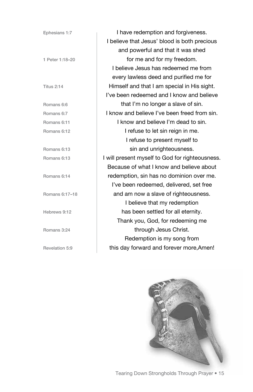| Ephesians 1:7     | I have redemption and forgiveness.              |
|-------------------|-------------------------------------------------|
|                   | I believe that Jesus' blood is both precious    |
|                   | and powerful and that it was shed               |
| 1 Peter 1:18-20   | for me and for my freedom.                      |
|                   | I believe Jesus has redeemed me from            |
|                   | every lawless deed and purified me for          |
| <b>Titus 2:14</b> | Himself and that I am special in His sight.     |
|                   | I've been redeemed and I know and believe       |
| Romans 6:6        | that I'm no longer a slave of sin.              |
| Romans 6:7        | I know and believe I've been freed from sin.    |
| Romans 6:11       | I know and believe I'm dead to sin.             |
| Romans 6:12       | I refuse to let sin reign in me.                |
|                   | I refuse to present myself to                   |
| Romans 6:13       | sin and unrighteousness.                        |
| Romans 6:13       | I will present myself to God for righteousness. |
|                   | Because of what I know and believe about        |
| Romans 6:14       | redemption, sin has no dominion over me.        |
|                   | I've been redeemed, delivered, set free         |
| Romans 6:17-18    | and am now a slave of righteousness.            |
|                   | I believe that my redemption                    |
| Hebrews 9:12      | has been settled for all eternity.              |
|                   | Thank you, God, for redeeming me                |
| Romans 3:24       | through Jesus Christ.                           |
|                   | Redemption is my song from                      |
| Revelation 5:9    | this day forward and forever more, Amen!        |



Tearing Down Strongholds Through Prayer • 15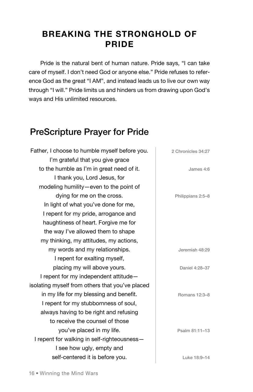# **Breaking the Stronghold of Pride**

Pride is the natural bent of human nature. Pride says, "I can take care of myself. I don't need God or anyone else." Pride refuses to reference God as the great "I AM", and instead leads us to live our own way through "I will." Pride limits us and hinders us from drawing upon God's ways and His unlimited resources.

# PreScripture Prayer for Pride

Father, I choose to humble myself before you. I'm grateful that you give grace to the humble as I'm in great need of it. I thank you, Lord Jesus, for modeling humility—even to the point of dying for me on the cross. In light of what you've done for me, I repent for my pride, arrogance and haughtiness of heart. Forgive me for the way I've allowed them to shape my thinking, my attitudes, my actions, my words and my relationships. I repent for exalting myself, placing my will above yours. I repent for my independent attitude isolating myself from others that you've placed in my life for my blessing and benefit. I repent for my stubbornness of soul, always having to be right and refusing to receive the counsel of those you've placed in my life. I repent for walking in self-righteousness— I see how ugly, empty and self-centered it is before you. 2 Chronicles 34:27 James 4:6 Philippians 2:5–8 Jeremiah 48:29 Daniel 4:28–37 Romans 12:3–8 Psalm 81:11–13 Luke 18:9–14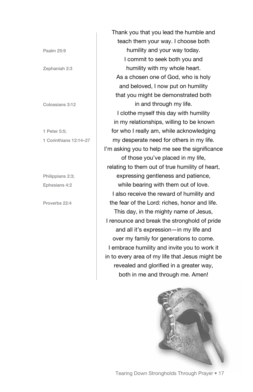Psalm 25:9

Zephaniah 2:3

Colossians 3:12

1 Peter 5:5; 1 Corinthians 12:14–27

Philippians 2:3; Ephesians 4:2

Proverbs 22:4

Thank you that you lead the humble and teach them your way. I choose both humility and your way today. I commit to seek both you and humility with my whole heart. As a chosen one of God, who is holy and beloved, I now put on humility that you might be demonstrated both in and through my life. I clothe myself this day with humility in my relationships, willing to be known for who I really am, while acknowledging my desperate need for others in my life. I'm asking you to help me see the significance of those you've placed in my life, relating to them out of true humility of heart, expressing gentleness and patience, while bearing with them out of love. I also receive the reward of humility and the fear of the Lord: riches, honor and life. This day, in the mighty name of Jesus, I renounce and break the stronghold of pride and all it's expression—in my life and over my family for generations to come. I embrace humility and invite you to work it in to every area of my life that Jesus might be revealed and glorified in a greater way, both in me and through me. Amen!

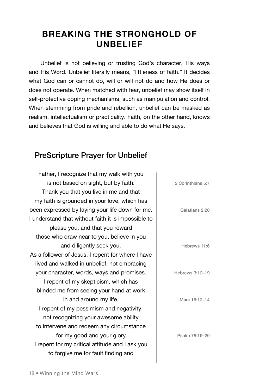# **Breaking the Stronghold of Unbelief**

Unbelief is not believing or trusting God's character, His ways and His Word. Unbelief literally means, "littleness of faith." It decides what God can or cannot do, will or will not do and how He does or does not operate. When matched with fear, unbelief may show itself in self-protective coping mechanisms, such as manipulation and control. When stemming from pride and rebellion, unbelief can be masked as realism, intellectualism or practicality. Faith, on the other hand, knows and believes that God is willing and able to do what He says.

#### PreScripture Prayer for Unbelief

Father, I recognize that my walk with you is not based on sight, but by faith. Thank you that you live in me and that my faith is grounded in your love, which has been expressed by laying your life down for me. I understand that without faith it is impossible to please you, and that you reward those who draw near to you, believe in you and diligently seek you. As a follower of Jesus, I repent for where I have lived and walked in unbelief, not embracing your character, words, ways and promises. I repent of my skepticism, which has blinded me from seeing your hand at work in and around my life. I repent of my pessimism and negativity, not recognizing your awesome ability to intervene and redeem any circumstance for my good and your glory. I repent for my critical attitude and I ask you to forgive me for fault finding and

|   | 2 Corinthians 5:7 |
|---|-------------------|
| í | Galatians 2:20    |
|   | Hebrews 11:6      |
|   | Hebrews 3:12-19   |
|   | Mark 16:12-14     |
|   | Psalm 78:19-20    |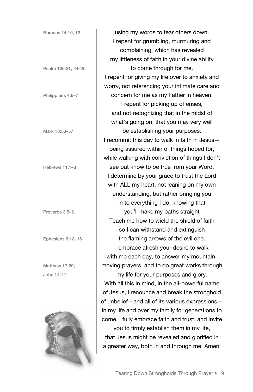| Romans 14:10, 12    | using my words to tear others down.               |
|---------------------|---------------------------------------------------|
|                     | I repent for grumbling, murmuring and             |
|                     | complaining, which has revealed                   |
|                     | my littleness of faith in your divine ability     |
| Psalm 106:21, 24-25 | to come through for me.                           |
|                     | I repent for giving my life over to anxiety and   |
|                     | worry, not referencing your intimate care and     |
| Philippians 4:6-7   | concern for me as my Father in heaven.            |
|                     | I repent for picking up offenses,                 |
|                     | and not recognizing that in the midst of          |
|                     | what's going on, that you may very well           |
| Mark 13:53-57       | be establishing your purposes.                    |
|                     | I recommit this day to walk in faith in Jesus-    |
|                     | being assured within of things hoped for,         |
|                     | while walking with conviction of things I don't   |
| Hebrews 11:1-3      | see but know to be true from your Word.           |
|                     | I determine by your grace to trust the Lord       |
|                     | with ALL my heart, not leaning on my own          |
|                     | understanding, but rather bringing you            |
|                     | in to everything I do, knowing that               |
| Proverbs 3:5-6      | you'll make my paths straight                     |
|                     | Teach me how to wield the shield of faith         |
|                     | so I can withstand and extinguish                 |
| Ephesians 6:13, 16  | the flaming arrows of the evil one.               |
|                     | I embrace afresh your desire to walk              |
|                     | with me each day, to answer my mountain-          |
| Matthew 17:20;      | moving prayers, and to do great works through     |
| John 14:12          | my life for your purposes and glory.              |
|                     | With all this in mind, in the all-powerful name   |
|                     | of Jesus, I renounce and break the stronghold     |
|                     | of unbelief-and all of its various expressions-   |
|                     | in my life and over my family for generations to  |
|                     | come. I fully embrace faith and trust, and invite |
|                     | you to firmly establish them in my life,          |
|                     | that Jesus might be revealed and glorified in     |
|                     | a greater way, both in and through me. Amen!      |
|                     |                                                   |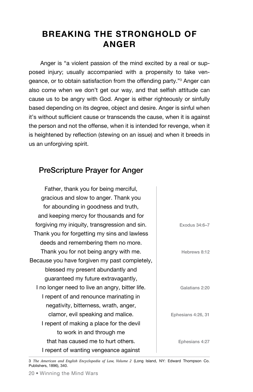# **Breaking the Stronghold of Anger**

Anger is "a violent passion of the mind excited by a real or supposed injury; usually accompanied with a propensity to take vengeance, or to obtain satisfaction from the offending party."<sup>3</sup> Anger can also come when we don't get our way, and that selfish attitude can cause us to be angry with God. Anger is either righteously or sinfully based depending on its degree, object and desire. Anger is sinful when it's without sufficient cause or transcends the cause, when it is against the person and not the offense, when it is intended for revenge, when it is heightened by reflection (stewing on an issue) and when it breeds in us an unforgiving spirit.

#### PreScripture Prayer for Anger

|                    | Father, thank you for being merciful,           |
|--------------------|-------------------------------------------------|
|                    | gracious and slow to anger. Thank you           |
|                    | for abounding in goodness and truth,            |
|                    | and keeping mercy for thousands and for         |
| Exodus 34:6-7      | forgiving my iniquity, transgression and sin.   |
|                    | Thank you for forgetting my sins and lawless    |
|                    | deeds and remembering them no more.             |
| Hebrews 8:12       | Thank you for not being angry with me.          |
|                    | Because you have forgiven my past completely,   |
|                    | blessed my present abundantly and               |
|                    | guaranteed my future extravagantly,             |
| Galatians 2:20     | I no longer need to live an angry, bitter life. |
|                    | I repent of and renounce marinating in          |
|                    | negativity, bitterness, wrath, anger,           |
| Ephesians 4:26, 31 | clamor, evil speaking and malice.               |
|                    | I repent of making a place for the devil        |
|                    | to work in and through me                       |
| Ephesians 4:27     | that has caused me to hurt others.              |
|                    | I repent of wanting vengeance against           |

3 *The American and English Encyclopedia of Law, Volume 2* (Long Island, NY: Edward Thompson Co. Publishers, 1896), 340.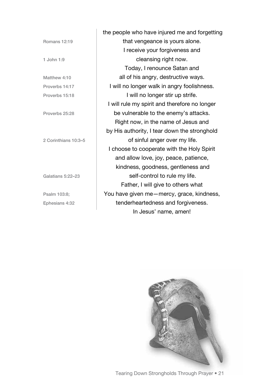Romans 12:19 1 John 1:9 Matthew 4:10 Proverbs 14:17 Proverbs 15:18 Proverbs 25:28 2 Corinthians 10:3–5 Galatians 5:22–23 Psalm 103:8; Ephesians 4:32

 the people who have injured me and forgetting that vengeance is yours alone. I receive your forgiveness and cleansing right now. Today, I renounce Satan and all of his angry, destructive ways. I will no longer walk in angry foolishness. I will no longer stir up strife. I will rule my spirit and therefore no longer be vulnerable to the enemy's attacks. Right now, in the name of Jesus and by His authority, I tear down the stronghold of sinful anger over my life. I choose to cooperate with the Holy Spirit and allow love, joy, peace, patience, kindness, goodness, gentleness and self-control to rule my life. Father, I will give to others what You have given me—mercy, grace, kindness, tenderheartedness and forgiveness. In Jesus' name, amen!



Tearing Down Strongholds Through Prayer • 21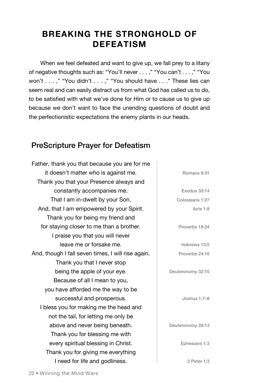# **Breaking the Stronghold of Defeatism**

When we feel defeated and want to give up, we fall prey to a litany of negative thoughts such as: "You'll never . . . ," "You can't . . . ," "You won't . . . ," "You didn't . . . ," "You should have . . ." These lies can seem real and can easily distract us from what God has called us to do, to be satisfied with what we've done for Him or to cause us to give up because we don't want to face the unending questions of doubt and the perfectionistic expectations the enemy plants in our heads.

#### PreScripture Prayer for Defeatism

Father, thank you that because you are for me it doesn't matter who is against me. Thank you that your Presence always and constantly accompanies me. That I am in-dwelt by your Son. And, that I am empowered by your Spirit. Thank you for being my friend and for staying closer to me than a brother. I praise you that you will never leave me or forsake me. And, though I fall seven times, I will rise again. Thank you that I never stop being the apple of your eye. Because of all I mean to you, you have afforded me the way to be successful and prosperous. I bless you for making me the head and not the tail, for letting me only be above and never being beneath. Thank you for blessing me with every spiritual blessing in Christ. Thank you for giving me everything I need for life and godliness.

Exodus 33:14 Colossians 1:27 Acts 1:8 Proverbs 18:24 Hebrews 13:5 Proverbs 24:16

Romans 8:31

Deuteronomy 32:10

Joshua 1:7–8

Deuteronomy 28:13

Ephesians 1:3

2 Peter 1:3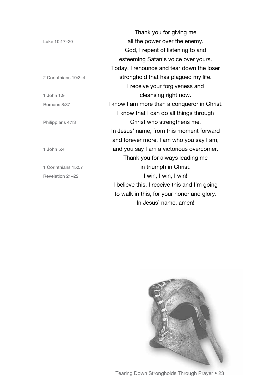Luke 10:17–20

2 Corinthians 10:3–4

1 John 1:9 Romans 8:37

Philippians 4:13

1 John 5:4

1 Corinthians 15:57 Revelation 21–22

Thank you for giving me all the power over the enemy. God, I repent of listening to and esteeming Satan's voice over yours. Today, I renounce and tear down the loser stronghold that has plagued my life. I receive your forgiveness and cleansing right now. I know I am more than a conqueror in Christ. I know that I can do all things through Christ who strengthens me. In Jesus' name, from this moment forward and forever more, I am who you say I am, and you say I am a victorious overcomer. Thank you for always leading me in triumph in Christ. I win, I win, I win! I believe this, I receive this and I'm going to walk in this, for your honor and glory. In Jesus' name, amen!



Tearing Down Strongholds Through Prayer • 23